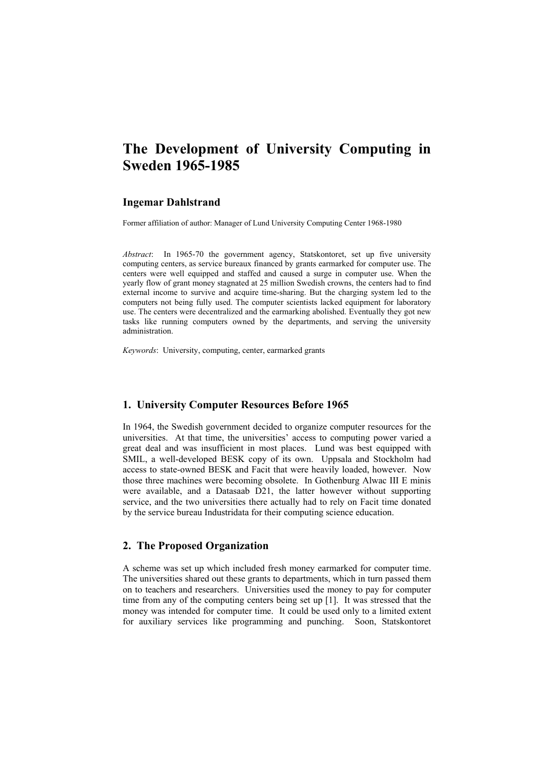# **The Development of University Computing in Sweden 1965-1985**

## **Ingemar Dahlstrand**

Former affiliation of author: Manager of Lund University Computing Center 1968-1980

*Abstract*: In 1965-70 the government agency, Statskontoret, set up five university computing centers, as service bureaux financed by grants earmarked for computer use. The centers were well equipped and staffed and caused a surge in computer use. When the yearly flow of grant money stagnated at 25 million Swedish crowns, the centers had to find external income to survive and acquire time-sharing. But the charging system led to the computers not being fully used. The computer scientists lacked equipment for laboratory use. The centers were decentralized and the earmarking abolished. Eventually they got new tasks like running computers owned by the departments, and serving the university administration.

*Keywords*: University, computing, center, earmarked grants

## **1. University Computer Resources Before 1965**

In 1964, the Swedish government decided to organize computer resources for the universities. At that time, the universities' access to computing power varied a great deal and was insufficient in most places. Lund was best equipped with SMIL, a well-developed BESK copy of its own. Uppsala and Stockholm had access to state-owned BESK and Facit that were heavily loaded, however. Now those three machines were becoming obsolete. In Gothenburg Alwac III E minis were available, and a Datasaab D21, the latter however without supporting service, and the two universities there actually had to rely on Facit time donated by the service bureau Industridata for their computing science education.

# **2. The Proposed Organization**

<span id="page-0-0"></span>A scheme was set up which included fresh money earmarked for computer time. The universities shared out these grants to departments, which in turn passed them on to teachers and researchers. Universities used the money to pay for computer time from any of the computing centers being set up [1]. It was stressed that the money was intended for computer time. It could be used only to a limited extent for auxiliary services like programming and punching. Soon, Statskontoret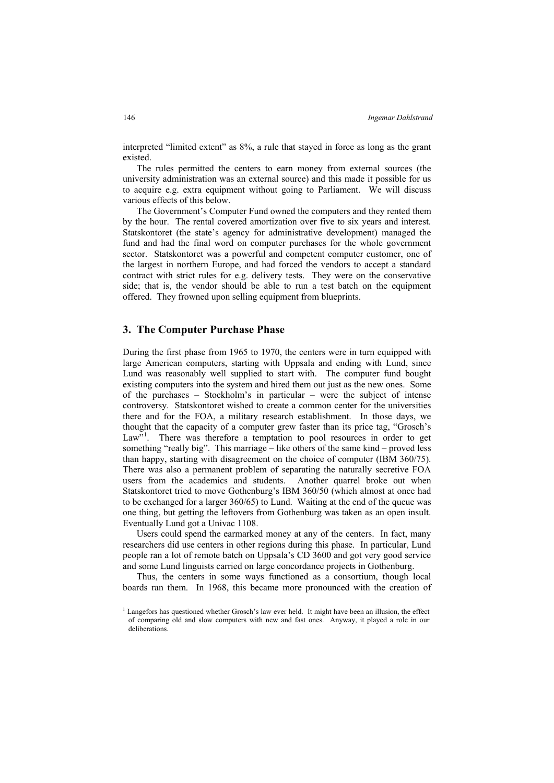interpreted "limited extent" as 8%, a rule that stayed in force as long as the grant existed.

The rules permitted the centers to earn money from external sources (the university administration was an external source) and this made it possible for us to acquire e.g. extra equipment without going to Parliament. We will discuss various effects of this below.

The Government's Computer Fund owned the computers and they rented them by the hour. The rental covered amortization over five to six years and interest. Statskontoret (the state's agency for administrative development) managed the fund and had the final word on computer purchases for the whole government sector. Statskontoret was a powerful and competent computer customer, one of the largest in northern Europe, and had forced the vendors to accept a standard contract with strict rules for e.g. delivery tests. They were on the conservative side; that is, the vendor should be able to run a test batch on the equipment offered. They frowned upon selling equipment from blueprints.

# **3. The Computer Purchase Phase**

During the first phase from 1965 to 1970, the centers were in turn equipped with large American computers, starting with Uppsala and ending with Lund, since Lund was reasonably well supplied to start with. The computer fund bought existing computers into the system and hired them out just as the new ones. Some of the purchases – Stockholm's in particular – were the subject of intense controversy. Statskontoret wished to create a common center for the universities there and for the FOA, a military research establishment. In those days, we thought that the capacity of a computer grew faster than its price tag, "Grosch's Law<sup>5[1](#page-0-0)</sup>. There was therefore a temptation to pool resources in order to get something "really big". This marriage – like others of the same kind – proved less than happy, starting with disagreement on the choice of computer (IBM 360/75). There was also a permanent problem of separating the naturally secretive FOA users from the academics and students. Another quarrel broke out when Statskontoret tried to move Gothenburg's IBM 360/50 (which almost at once had to be exchanged for a larger 360/65) to Lund. Waiting at the end of the queue was one thing, but getting the leftovers from Gothenburg was taken as an open insult. Eventually Lund got a Univac 1108.

Users could spend the earmarked money at any of the centers. In fact, many researchers did use centers in other regions during this phase. In particular, Lund people ran a lot of remote batch on Uppsala's CD 3600 and got very good service and some Lund linguists carried on large concordance projects in Gothenburg.

Thus, the centers in some ways functioned as a consortium, though local boards ran them. In 1968, this became more pronounced with the creation of

<sup>&</sup>lt;sup>1</sup> Langefors has questioned whether Grosch's law ever held. It might have been an illusion, the effect of comparing old and slow computers with new and fast ones. Anyway, it played a role in our deliberations.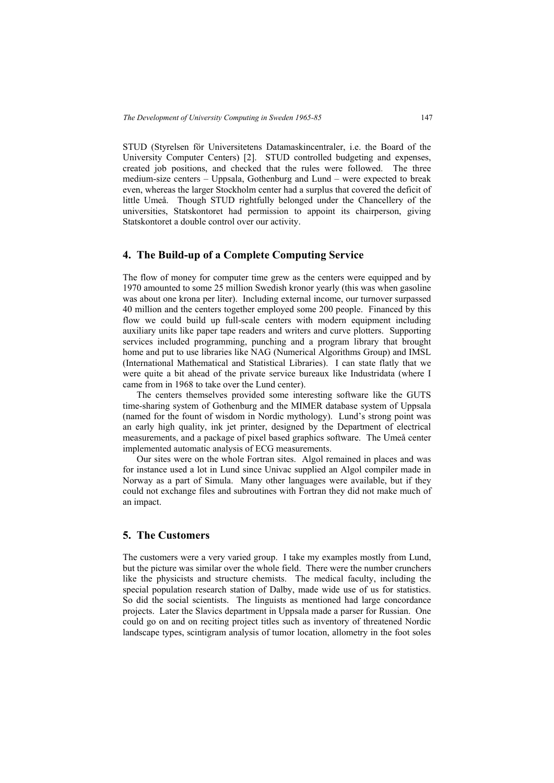STUD (Styrelsen för Universitetens Datamaskincentraler, i.e. the Board of the University Computer Centers) [2]. STUD controlled budgeting and expenses, created job positions, and checked that the rules were followed. The three medium-size centers – Uppsala, Gothenburg and Lund – were expected to break even, whereas the larger Stockholm center had a surplus that covered the deficit of little Umeå. Though STUD rightfully belonged under the Chancellery of the universities, Statskontoret had permission to appoint its chairperson, giving Statskontoret a double control over our activity.

### **4. The Build-up of a Complete Computing Service**

The flow of money for computer time grew as the centers were equipped and by 1970 amounted to some 25 million Swedish kronor yearly (this was when gasoline was about one krona per liter). Including external income, our turnover surpassed 40 million and the centers together employed some 200 people. Financed by this flow we could build up full-scale centers with modern equipment including auxiliary units like paper tape readers and writers and curve plotters. Supporting services included programming, punching and a program library that brought home and put to use libraries like NAG (Numerical Algorithms Group) and IMSL (International Mathematical and Statistical Libraries). I can state flatly that we were quite a bit ahead of the private service bureaux like Industridata (where I came from in 1968 to take over the Lund center).

The centers themselves provided some interesting software like the GUTS time-sharing system of Gothenburg and the MIMER database system of Uppsala (named for the fount of wisdom in Nordic mythology). Lund's strong point was an early high quality, ink jet printer, designed by the Department of electrical measurements, and a package of pixel based graphics software. The Umeå center implemented automatic analysis of ECG measurements.

Our sites were on the whole Fortran sites. Algol remained in places and was for instance used a lot in Lund since Univac supplied an Algol compiler made in Norway as a part of Simula. Many other languages were available, but if they could not exchange files and subroutines with Fortran they did not make much of an impact.

# **5. The Customers**

The customers were a very varied group. I take my examples mostly from Lund, but the picture was similar over the whole field. There were the number crunchers like the physicists and structure chemists. The medical faculty, including the special population research station of Dalby, made wide use of us for statistics. So did the social scientists. The linguists as mentioned had large concordance projects. Later the Slavics department in Uppsala made a parser for Russian. One could go on and on reciting project titles such as inventory of threatened Nordic landscape types, scintigram analysis of tumor location, allometry in the foot soles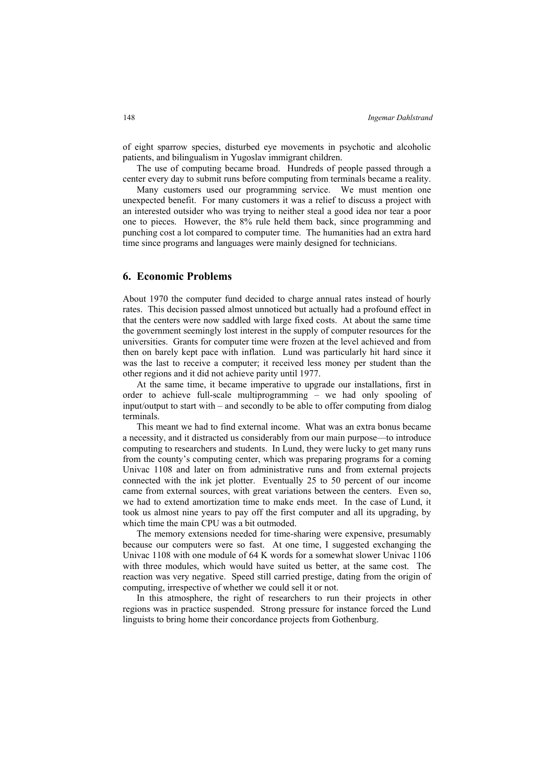of eight sparrow species, disturbed eye movements in psychotic and alcoholic patients, and bilingualism in Yugoslav immigrant children.

The use of computing became broad. Hundreds of people passed through a center every day to submit runs before computing from terminals became a reality.

Many customers used our programming service. We must mention one unexpected benefit. For many customers it was a relief to discuss a project with an interested outsider who was trying to neither steal a good idea nor tear a poor one to pieces. However, the 8% rule held them back, since programming and punching cost a lot compared to computer time. The humanities had an extra hard time since programs and languages were mainly designed for technicians.

### **6. Economic Problems**

About 1970 the computer fund decided to charge annual rates instead of hourly rates. This decision passed almost unnoticed but actually had a profound effect in that the centers were now saddled with large fixed costs. At about the same time the government seemingly lost interest in the supply of computer resources for the universities. Grants for computer time were frozen at the level achieved and from then on barely kept pace with inflation. Lund was particularly hit hard since it was the last to receive a computer; it received less money per student than the other regions and it did not achieve parity until 1977.

At the same time, it became imperative to upgrade our installations, first in order to achieve full-scale multiprogramming – we had only spooling of input/output to start with – and secondly to be able to offer computing from dialog terminals.

This meant we had to find external income. What was an extra bonus became a necessity, and it distracted us considerably from our main purpose—to introduce computing to researchers and students. In Lund, they were lucky to get many runs from the county's computing center, which was preparing programs for a coming Univac 1108 and later on from administrative runs and from external projects connected with the ink jet plotter. Eventually 25 to 50 percent of our income came from external sources, with great variations between the centers. Even so, we had to extend amortization time to make ends meet. In the case of Lund, it took us almost nine years to pay off the first computer and all its upgrading, by which time the main CPU was a bit outmoded.

The memory extensions needed for time-sharing were expensive, presumably because our computers were so fast. At one time, I suggested exchanging the Univac 1108 with one module of 64 K words for a somewhat slower Univac 1106 with three modules, which would have suited us better, at the same cost. The reaction was very negative. Speed still carried prestige, dating from the origin of computing, irrespective of whether we could sell it or not.

In this atmosphere, the right of researchers to run their projects in other regions was in practice suspended. Strong pressure for instance forced the Lund linguists to bring home their concordance projects from Gothenburg.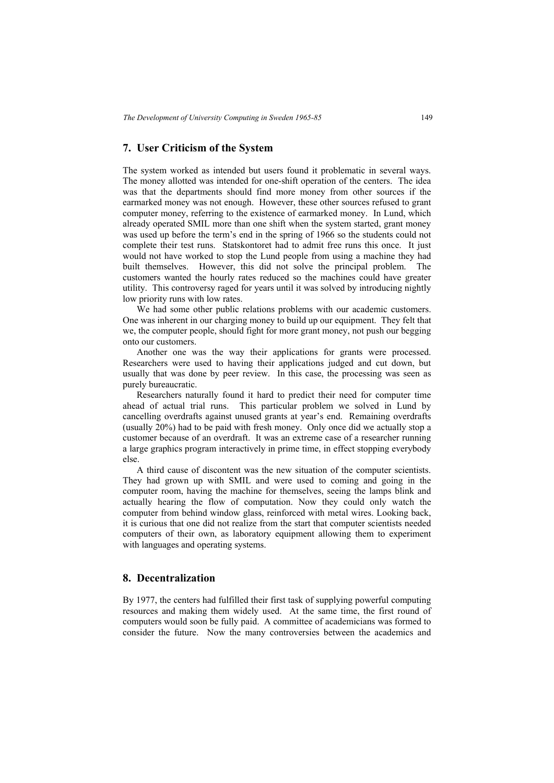# **7. User Criticism of the System**

The system worked as intended but users found it problematic in several ways. The money allotted was intended for one-shift operation of the centers. The idea was that the departments should find more money from other sources if the earmarked money was not enough. However, these other sources refused to grant computer money, referring to the existence of earmarked money. In Lund, which already operated SMIL more than one shift when the system started, grant money was used up before the term's end in the spring of 1966 so the students could not complete their test runs. Statskontoret had to admit free runs this once. It just would not have worked to stop the Lund people from using a machine they had built themselves. However, this did not solve the principal problem. The customers wanted the hourly rates reduced so the machines could have greater utility. This controversy raged for years until it was solved by introducing nightly low priority runs with low rates.

We had some other public relations problems with our academic customers. One was inherent in our charging money to build up our equipment. They felt that we, the computer people, should fight for more grant money, not push our begging onto our customers.

Another one was the way their applications for grants were processed. Researchers were used to having their applications judged and cut down, but usually that was done by peer review. In this case, the processing was seen as purely bureaucratic.

Researchers naturally found it hard to predict their need for computer time ahead of actual trial runs. This particular problem we solved in Lund by cancelling overdrafts against unused grants at year's end. Remaining overdrafts (usually 20%) had to be paid with fresh money. Only once did we actually stop a customer because of an overdraft. It was an extreme case of a researcher running a large graphics program interactively in prime time, in effect stopping everybody else.

A third cause of discontent was the new situation of the computer scientists. They had grown up with SMIL and were used to coming and going in the computer room, having the machine for themselves, seeing the lamps blink and actually hearing the flow of computation. Now they could only watch the computer from behind window glass, reinforced with metal wires. Looking back, it is curious that one did not realize from the start that computer scientists needed computers of their own, as laboratory equipment allowing them to experiment with languages and operating systems.

## **8. Decentralization**

By 1977, the centers had fulfilled their first task of supplying powerful computing resources and making them widely used. At the same time, the first round of computers would soon be fully paid. A committee of academicians was formed to consider the future. Now the many controversies between the academics and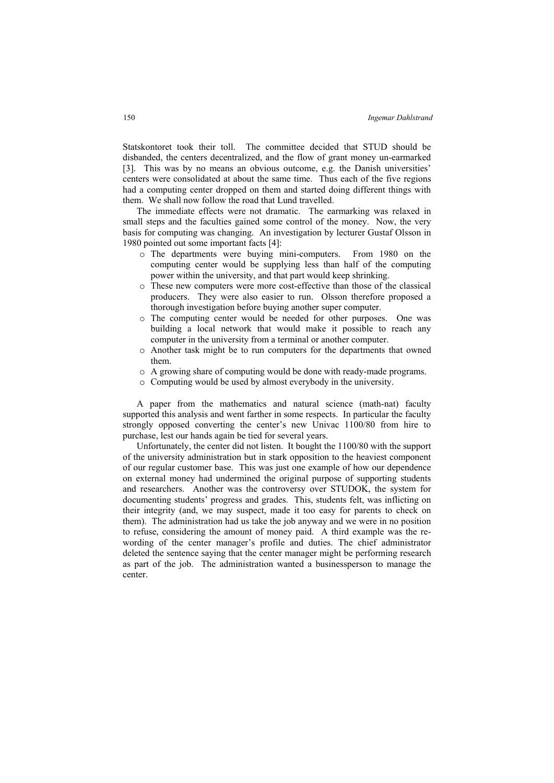Statskontoret took their toll. The committee decided that STUD should be disbanded, the centers decentralized, and the flow of grant money un-earmarked [3]. This was by no means an obvious outcome, e.g. the Danish universities' centers were consolidated at about the same time. Thus each of the five regions had a computing center dropped on them and started doing different things with them. We shall now follow the road that Lund travelled.

The immediate effects were not dramatic. The earmarking was relaxed in small steps and the faculties gained some control of the money. Now, the very basis for computing was changing. An investigation by lecturer Gustaf Olsson in 1980 pointed out some important facts [4]:

- o The departments were buying mini-computers. From 1980 on the computing center would be supplying less than half of the computing power within the university, and that part would keep shrinking.
- o These new computers were more cost-effective than those of the classical producers. They were also easier to run. Olsson therefore proposed a thorough investigation before buying another super computer.
- o The computing center would be needed for other purposes. One was building a local network that would make it possible to reach any computer in the university from a terminal or another computer.
- o Another task might be to run computers for the departments that owned them.
- o A growing share of computing would be done with ready-made programs.
- o Computing would be used by almost everybody in the university.

A paper from the mathematics and natural science (math-nat) faculty supported this analysis and went farther in some respects. In particular the faculty strongly opposed converting the center's new Univac 1100/80 from hire to purchase, lest our hands again be tied for several years.

Unfortunately, the center did not listen. It bought the 1100/80 with the support of the university administration but in stark opposition to the heaviest component of our regular customer base. This was just one example of how our dependence on external money had undermined the original purpose of supporting students and researchers. Another was the controversy over STUDOK, the system for documenting students' progress and grades. This, students felt, was inflicting on their integrity (and, we may suspect, made it too easy for parents to check on them). The administration had us take the job anyway and we were in no position to refuse, considering the amount of money paid. A third example was the rewording of the center manager's profile and duties. The chief administrator deleted the sentence saying that the center manager might be performing research as part of the job. The administration wanted a businessperson to manage the center.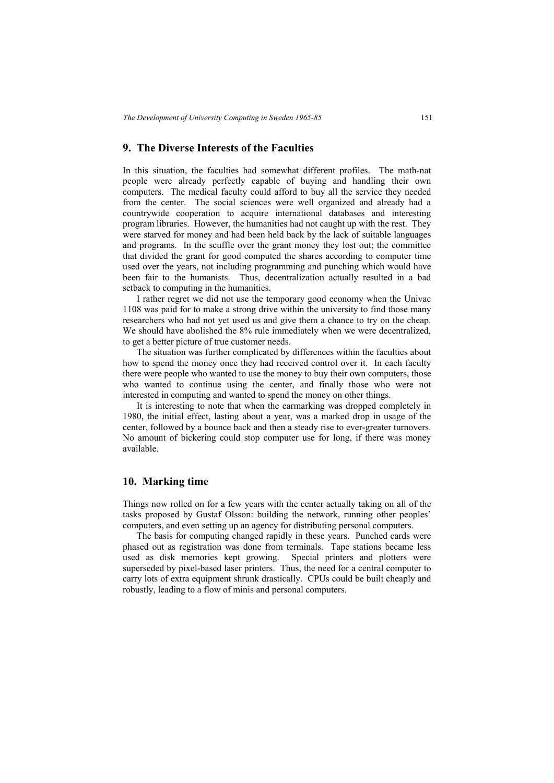## **9. The Diverse Interests of the Faculties**

In this situation, the faculties had somewhat different profiles. The math-nat people were already perfectly capable of buying and handling their own computers. The medical faculty could afford to buy all the service they needed from the center. The social sciences were well organized and already had a countrywide cooperation to acquire international databases and interesting program libraries. However, the humanities had not caught up with the rest. They were starved for money and had been held back by the lack of suitable languages and programs. In the scuffle over the grant money they lost out; the committee that divided the grant for good computed the shares according to computer time used over the years, not including programming and punching which would have been fair to the humanists. Thus, decentralization actually resulted in a bad setback to computing in the humanities.

I rather regret we did not use the temporary good economy when the Univac 1108 was paid for to make a strong drive within the university to find those many researchers who had not yet used us and give them a chance to try on the cheap. We should have abolished the 8% rule immediately when we were decentralized, to get a better picture of true customer needs.

The situation was further complicated by differences within the faculties about how to spend the money once they had received control over it. In each faculty there were people who wanted to use the money to buy their own computers, those who wanted to continue using the center, and finally those who were not interested in computing and wanted to spend the money on other things.

It is interesting to note that when the earmarking was dropped completely in 1980, the initial effect, lasting about a year, was a marked drop in usage of the center, followed by a bounce back and then a steady rise to ever-greater turnovers. No amount of bickering could stop computer use for long, if there was money available.

#### **10. Marking time**

Things now rolled on for a few years with the center actually taking on all of the tasks proposed by Gustaf Olsson: building the network, running other peoples' computers, and even setting up an agency for distributing personal computers.

The basis for computing changed rapidly in these years. Punched cards were phased out as registration was done from terminals. Tape stations became less used as disk memories kept growing. Special printers and plotters were superseded by pixel-based laser printers. Thus, the need for a central computer to carry lots of extra equipment shrunk drastically. CPUs could be built cheaply and robustly, leading to a flow of minis and personal computers.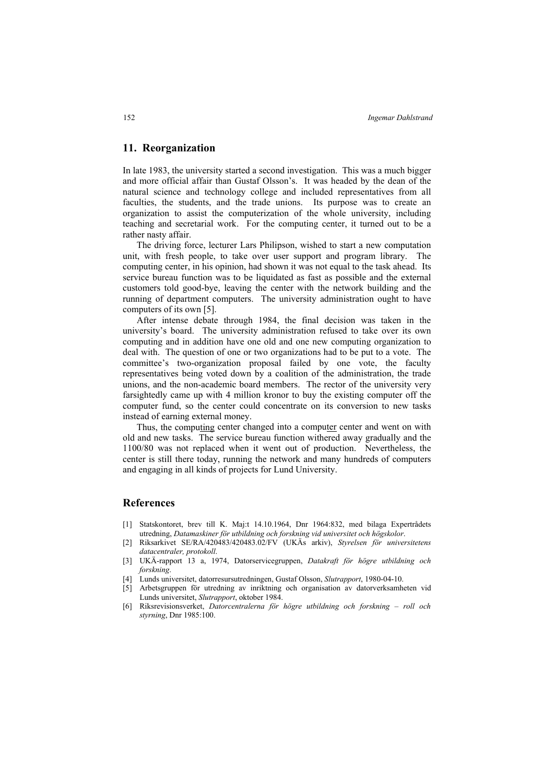#### **11. Reorganization**

In late 1983, the university started a second investigation. This was a much bigger and more official affair than Gustaf Olsson's. It was headed by the dean of the natural science and technology college and included representatives from all faculties, the students, and the trade unions. Its purpose was to create an organization to assist the computerization of the whole university, including teaching and secretarial work. For the computing center, it turned out to be a rather nasty affair.

The driving force, lecturer Lars Philipson, wished to start a new computation unit, with fresh people, to take over user support and program library. The computing center, in his opinion, had shown it was not equal to the task ahead. Its service bureau function was to be liquidated as fast as possible and the external customers told good-bye, leaving the center with the network building and the running of department computers. The university administration ought to have computers of its own [5].

After intense debate through 1984, the final decision was taken in the university's board. The university administration refused to take over its own computing and in addition have one old and one new computing organization to deal with. The question of one or two organizations had to be put to a vote. The committee's two-organization proposal failed by one vote, the faculty representatives being voted down by a coalition of the administration, the trade unions, and the non-academic board members. The rector of the university very farsightedly came up with 4 million kronor to buy the existing computer off the computer fund, so the center could concentrate on its conversion to new tasks instead of earning external money.

Thus, the computing center changed into a computer center and went on with old and new tasks. The service bureau function withered away gradually and the 1100/80 was not replaced when it went out of production. Nevertheless, the center is still there today, running the network and many hundreds of computers and engaging in all kinds of projects for Lund University.

#### **References**

- [1] Statskontoret, brev till K. Maj:t 14.10.1964, Dnr 1964:832, med bilaga Expertrådets utredning, *Datamaskiner för utbildning och forskning vid universitet och högskolor*.
- [2] Riksarkivet SE/RA/420483/420483.02/FV (UKÄs arkiv), *Styrelsen för universitetens datacentraler, protokoll*.
- [3] UKÄ-rapport 13 a, 1974, Datorservicegruppen, *Datakraft för högre utbildning och forskning*.
- [4] Lunds universitet, datorresursutredningen, Gustaf Olsson, *Slutrapport*, 1980-04-10.
- [5] Arbetsgruppen för utredning av inriktning och organisation av datorverksamheten vid Lunds universitet, *Slutrapport*, oktober 1984.
- [6] Riksrevisionsverket, *Datorcentralerna för högre utbildning och forskning roll och styrning*, Dnr 1985:100.